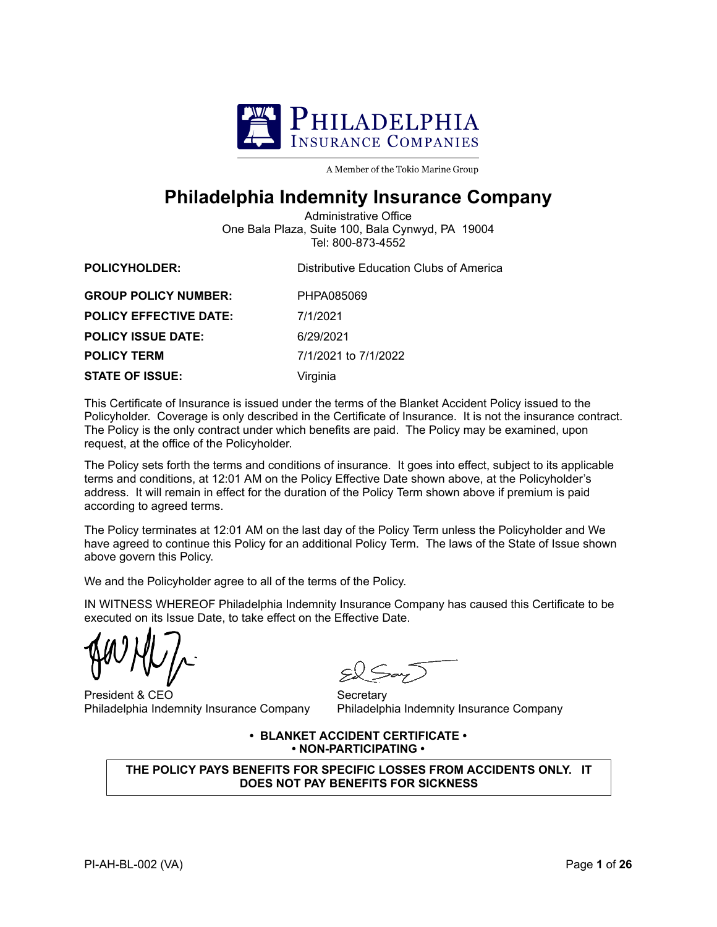

A Member of the Tokio Marine Group

## **Philadelphia Indemnity Insurance Company**

Administrative Office One Bala Plaza, Suite 100, Bala Cynwyd, PA 19004 Tel: 800-873-4552

| <b>POLICYHOLDER:</b>          | Distributive Education Clubs of America |
|-------------------------------|-----------------------------------------|
| <b>GROUP POLICY NUMBER:</b>   | PHPA085069                              |
| <b>POLICY EFFECTIVE DATE:</b> | 7/1/2021                                |
| <b>POLICY ISSUE DATE:</b>     | 6/29/2021                               |
| <b>POLICY TERM</b>            | 7/1/2021 to 7/1/2022                    |
| <b>STATE OF ISSUE:</b>        | Virginia                                |

This Certificate of Insurance is issued under the terms of the Blanket Accident Policy issued to the Policyholder. Coverage is only described in the Certificate of Insurance. It is not the insurance contract. The Policy is the only contract under which benefits are paid. The Policy may be examined, upon request, at the office of the Policyholder.

The Policy sets forth the terms and conditions of insurance. It goes into effect, subject to its applicable terms and conditions, at 12:01 AM on the Policy Effective Date shown above, at the Policyholder's address. It will remain in effect for the duration of the Policy Term shown above if premium is paid according to agreed terms.

The Policy terminates at 12:01 AM on the last day of the Policy Term unless the Policyholder and We have agreed to continue this Policy for an additional Policy Term. The laws of the State of Issue shown above govern this Policy.

We and the Policyholder agree to all of the terms of the Policy.

IN WITNESS WHEREOF Philadelphia Indemnity Insurance Company has caused this Certificate to be executed on its Issue Date, to take effect on the Effective Date.

President & CEO Philadelphia Indemnity Insurance Company

**Secretary** Philadelphia Indemnity Insurance Company

## **• BLANKET ACCIDENT CERTIFICATE • • NON-PARTICIPATING •**

**THE POLICY PAYS BENEFITS FOR SPECIFIC LOSSES FROM ACCIDENTS ONLY. IT DOES NOT PAY BENEFITS FOR SICKNESS**